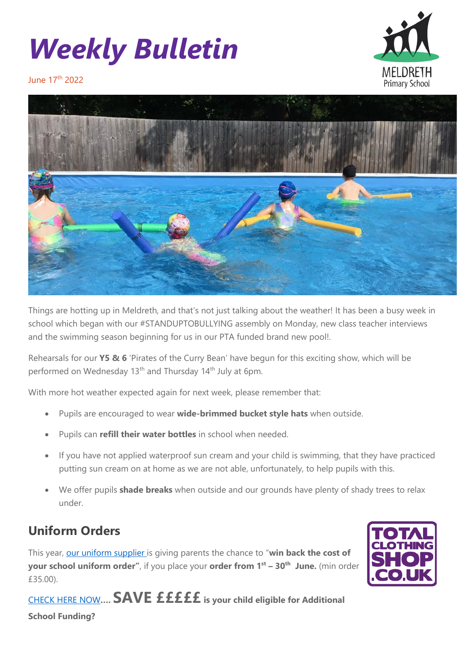## *Weekly Bulletin*



June 17<sup>th</sup> 2022



Things are hotting up in Meldreth, and that's not just talking about the weather! It has been a busy week in school which began with our #STANDUPTOBULLYING assembly on Monday, new class teacher interviews and the swimming season beginning for us in our PTA funded brand new pool!.

Rehearsals for our **Y5 & 6** 'Pirates of the Curry Bean' have begun for this exciting show, which will be performed on Wednesday 13<sup>th</sup> and Thursday 14<sup>th</sup> July at 6pm.

With more hot weather expected again for next week, please remember that:

- Pupils are encouraged to wear **wide-brimmed bucket style hats** when outside.
- Pupils can **refill their water bottles** in school when needed.
- If you have not applied waterproof sun cream and your child is swimming, that they have practiced putting sun cream on at home as we are not able, unfortunately, to help pupils with this.
- We offer pupils **shade breaks** when outside and our grounds have plenty of shady trees to relax under.

## **Uniform Orders**

This year, [our uniform supplier](https://www.totalclothingshop.co.uk/meldreth) is giving parents the chance to "**win back the cost of your school uniform order"**, if you place your **order from 1st – 30th June.** (min order £35.00).



[CHECK HERE NOW](https://cambridgeshire-self.achieveservice.com/service/Apply_for_Education_Welfare_Benefits)**…. SAVE £££££ is your child eligible for Additional School Funding?**